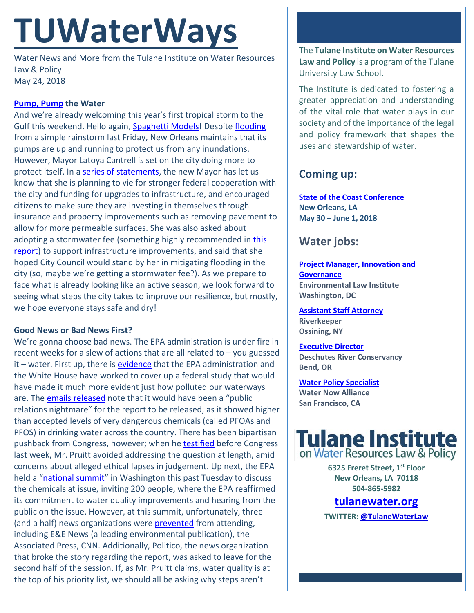# **TUWaterWays**

Water News and More from the Tulane Institute on Water Resources Law & Policy May 24, 2018

## **[Pump, Pump](https://www.youtube.com/watch?v=9EcjWd-O4jI) the Water**

And we're already welcoming this year's first tropical storm to the Gulf this weekend. Hello again, **Spaghetti Models!** Despite [flooding](http://www.nola.com/weather/index.ssf/2018/05/how_did_the_pumps_fare_during.html) from a simple rainstorm last Friday, New Orleans maintains that its pumps are up and running to protect us from any inundations. However, Mayor Latoya Cantrell is set on the city doing more to protect itself. In [a series of statements,](http://www.nola.com/politics/index.ssf/2018/05/latoya_cantrell_flooding_new_o.html) the new Mayor has let us know that she is planning to vie for stronger federal cooperation with the city and funding for upgrades to infrastructure, and encouraged citizens to make sure they are investing in themselves through insurance and property improvements such as removing pavement to allow for more permeable surfaces. She was also asked about adopting a stormwater fee (something highly recommended in [this](http://www.bgr.org/files/reports/BGR_StormwaterFees2017_Report.pdf)  [report\)](http://www.bgr.org/files/reports/BGR_StormwaterFees2017_Report.pdf) to support infrastructure improvements, and said that she hoped City Council would stand by her in mitigating flooding in the city (so, maybe we're getting a stormwater fee?). As we prepare to face what is already looking like an active season, we look forward to seeing what steps the city takes to improve our resilience, but mostly, we hope everyone stays safe and dry!

## **Good News or Bad News First?**

We're gonna choose bad news. The EPA administration is under fire in recent weeks for a slew of actions that are all related to – you guessed it – water. First up, there is [evidence](https://www.politico.com/story/2018/05/14/emails-white-house-interfered-with-science-study-536950) that the EPA administration and the White House have worked to cover up a federal study that would have made it much more evident just how polluted our waterways are. The [emails released](https://foiaonline.regulations.gov/foia/action/public/view/record?objectId=090004d2818f35c0) note that it would have been a "public relations nightmare" for the report to be released, as it showed higher than accepted levels of very dangerous chemicals (called PFOAs and PFOS) in drinking water across the country. There has been bipartisan pushback from Congress, however; when he [testified](https://www.appropriations.senate.gov/download/051618_-pruitt-testimony) before Congress last week, Mr. Pruitt avoided addressing the question at length, amid concerns about alleged ethical lapses in judgement. Up next, the EPA held a ["national summit"](https://www.pbs.org/newshour/politics/pruitt-says-dealing-with-water-contaminants-a-national-priority) in Washington this past Tuesday to discuss the chemicals at issue, inviting 200 people, where the EPA reaffirmed its commitment to water quality improvements and hearing from the public on the issue. However, at this summit, unfortunately, three (and a half) news organizations were **prevented** from attending, including E&E News (a leading environmental publication), the Associated Press, CNN. Additionally, Politico, the news organization that broke the story regarding the report, was asked to leave for the second half of the session. If, as Mr. Pruitt claims, water quality is at the top of his priority list, we should all be asking why steps aren't

The **Tulane Institute on Water Resources Law and Policy** is a program of the Tulane University Law School.

The Institute is dedicated to fostering a greater appreciation and understanding of the vital role that water plays in our society and of the importance of the legal and policy framework that shapes the uses and stewardship of water.

# **Coming up:**

**[State of the Coast Conference](http://www.stateofthecoast.org/) New Orleans, LA May 30 – June 1, 2018**

**Water jobs:**

**[Project Manager, Innovation and](https://workforcenow.adp.com/mdf/recruitment/recruitment.html?cid=82bc5b12-ae17-4634-b907-3b62f1097668&jobId=231665&lang=en_US&source=CC3&ccId=19000101_000001)  [Governance](https://workforcenow.adp.com/mdf/recruitment/recruitment.html?cid=82bc5b12-ae17-4634-b907-3b62f1097668&jobId=231665&lang=en_US&source=CC3&ccId=19000101_000001) Environmental Law Institute Washington, DC**

**[Assistant Staff Attorney](https://www.riverkeeper.org/riverkeeper-mission/jobs/) Riverkeeper Ossining, NY**

**[Executive Director](http://www.deschutesriver.org/get-involved/current-openings/) Deschutes River Conservancy Bend, OR**

**[Water Policy Specialist](https://www.idealist.org/en/nonprofit-job/7e47cc795c6e4598aa93a4244ce899b2-waternow-alliance-water-policy-specialist-trust-for-conservation-innovation-san-francisco?) Water Now Alliance San Francisco, CA** 



**6325 Freret Street, 1st Floor New Orleans, LA 70118 504-865-5982** 

# **tulanewater.org**

**TWITTER[: @TulaneWaterLaw](http://www.twitter.com/TulaneWaterLaw)**